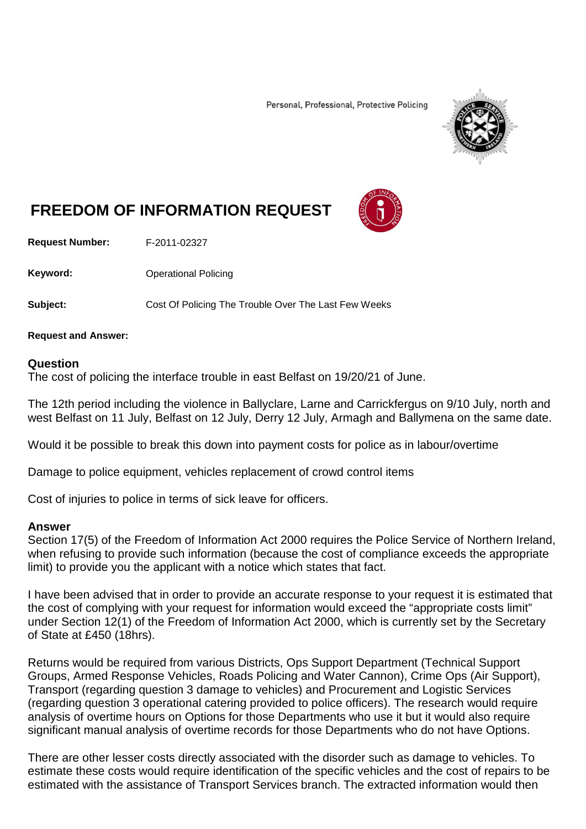Personal, Professional, Protective Policing



## **FREEDOM OF INFORMATION REQUEST**

**Request Number:** F-2011-02327

**Keyword:** Operational Policing

**Subject:** Cost Of Policing The Trouble Over The Last Few Weeks

**Request and Answer:**

## **Question**

The cost of policing the interface trouble in east Belfast on 19/20/21 of June.

The 12th period including the violence in Ballyclare, Larne and Carrickfergus on 9/10 July, north and west Belfast on 11 July, Belfast on 12 July, Derry 12 July, Armagh and Ballymena on the same date.

Would it be possible to break this down into payment costs for police as in labour/overtime

Damage to police equipment, vehicles replacement of crowd control items

Cost of injuries to police in terms of sick leave for officers.

## **Answer**

Section 17(5) of the Freedom of Information Act 2000 requires the Police Service of Northern Ireland, when refusing to provide such information (because the cost of compliance exceeds the appropriate limit) to provide you the applicant with a notice which states that fact.

I have been advised that in order to provide an accurate response to your request it is estimated that the cost of complying with your request for information would exceed the "appropriate costs limit" under Section 12(1) of the Freedom of Information Act 2000, which is currently set by the Secretary of State at £450 (18hrs).

Returns would be required from various Districts, Ops Support Department (Technical Support Groups, Armed Response Vehicles, Roads Policing and Water Cannon), Crime Ops (Air Support), Transport (regarding question 3 damage to vehicles) and Procurement and Logistic Services (regarding question 3 operational catering provided to police officers). The research would require analysis of overtime hours on Options for those Departments who use it but it would also require significant manual analysis of overtime records for those Departments who do not have Options.

There are other lesser costs directly associated with the disorder such as damage to vehicles. To estimate these costs would require identification of the specific vehicles and the cost of repairs to be estimated with the assistance of Transport Services branch. The extracted information would then